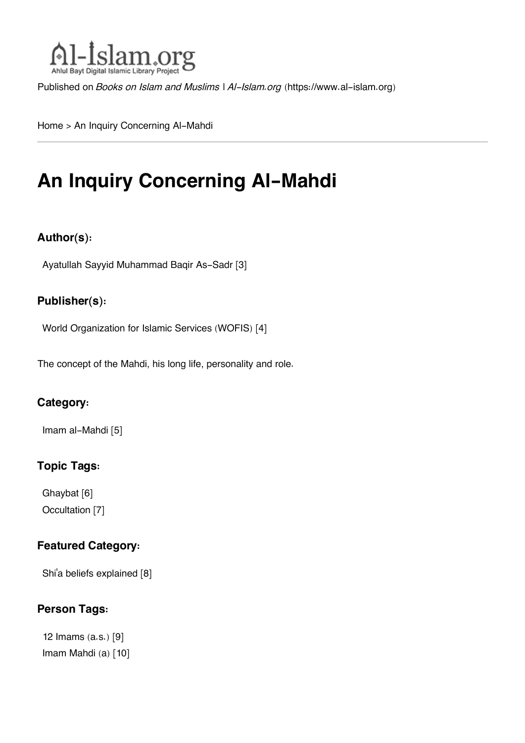

Published on *Books on Islam and Muslims | Al-Islam.org* [\(https://www.al-islam.org](https://www.al-islam.org))

[Home](https://www.al-islam.org/) > An Inquiry Concerning Al-Mahdi

## **An Inquiry Concerning Al-Mahdi**

#### **Author(s):**

[Ayatullah Sayyid Muhammad Baqir As-Sadr](https://www.al-islam.org/person/ayatullah-sayyid-muhammad-baqir-sadr) [3]

#### **Publisher(s):**

[World Organization for Islamic Services \(WOFIS\)](https://www.al-islam.org/organization/world-organization-islamic-services-wofis-0) [4]

The concept of the Mahdi, his long life, personality and role.

#### **Category:**

[Imam al-Mahdi](https://www.al-islam.org/library/imam-al-mahdi) [5]

#### **Topic Tags:**

[Ghaybat](https://www.al-islam.org/tags/ghaybat) [6] [Occultation](https://www.al-islam.org/tags/occultation) [7]

#### **Featured Category:**

Shi['a beliefs explained](https://www.al-islam.org/feature/shia-beliefs-explained) [8]

#### **Person Tags:**

[12 Imams \(a.s.\)](https://www.al-islam.org/person/12-imams) [9] [Imam Mahdi \(a\)](https://www.al-islam.org/person/imam-al-mahdi) [10]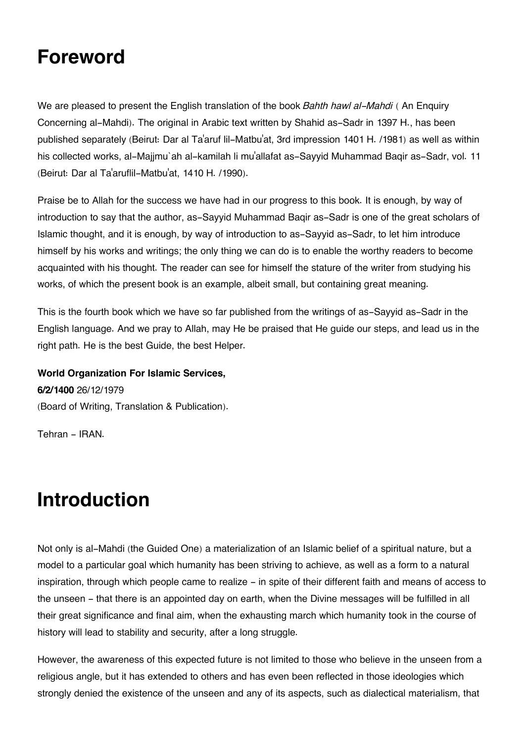### **Foreword**

We are pleased to present the English translation of the book *Bahth hawl al-Mahdi* ( An Enquiry Concerning al-Mahdi). The original in Arabic text written by Shahid as-Sadr in 1397 H., has been published separately (Beirut: Dar al Ta'aruf lil-Matbu'at, 3rd impression 1401 H. /1981) as well as within his collected works, al-Majjmu`ah al-kamilah li mu'allafat as-Sayyid Muhammad Baqir as-Sadr, vol. 11 (Beirut: Dar al Ta'aruflil-Matbu'at, 1410 H. /1990).

Praise be to Allah for the success we have had in our progress to this book. It is enough, by way of introduction to say that the author, as-Sayyid Muhammad Baqir as-Sadr is one of the great scholars of Islamic thought, and it is enough, by way of introduction to as-Sayyid as-Sadr, to let him introduce himself by his works and writings; the only thing we can do is to enable the worthy readers to become acquainted with his thought. The reader can see for himself the stature of the writer from studying his works, of which the present book is an example, albeit small, but containing great meaning.

This is the fourth book which we have so far published from the writings of as-Sayyid as-Sadr in the English language. And we pray to Allah, may He be praised that He guide our steps, and lead us in the right path. He is the best Guide, the best Helper.

**World Organization For Islamic Services, 6/2/1400** 26/12/1979 (Board of Writing, Translation & Publication).

Tehran - IRAN.

### **Introduction**

Not only is al-Mahdi (the Guided One) a materialization of an Islamic belief of a spiritual nature, but a model to a particular goal which humanity has been striving to achieve, as well as a form to a natural inspiration, through which people came to realize - in spite of their different faith and means of access to the unseen - that there is an appointed day on earth, when the Divine messages will be fulfilled in all their great significance and final aim, when the exhausting march which humanity took in the course of history will lead to stability and security, after a long struggle.

However, the awareness of this expected future is not limited to those who believe in the unseen from a religious angle, but it has extended to others and has even been reflected in those ideologies which strongly denied the existence of the unseen and any of its aspects, such as dialectical materialism, that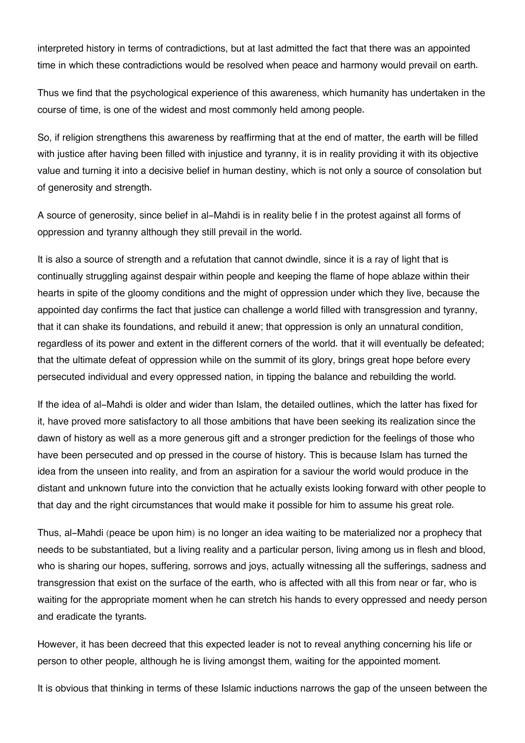interpreted history in terms of contradictions, but at last admitted the fact that there was an appointed time in which these contradictions would be resolved when peace and harmony would prevail on earth.

Thus we find that the psychological experience of this awareness, which humanity has undertaken in the course of time, is one of the widest and most commonly held among people.

So, if religion strengthens this awareness by reaffirming that at the end of matter, the earth will be filled with justice after having been filled with injustice and tyranny, it is in reality providing it with its objective value and turning it into a decisive belief in human destiny, which is not only a source of consolation but of generosity and strength.

A source of generosity, since belief in al-Mahdi is in reality belie f in the protest against all forms of oppression and tyranny although they still prevail in the world.

It is also a source of strength and a refutation that cannot dwindle, since it is a ray of light that is continually struggling against despair within people and keeping the flame of hope ablaze within their hearts in spite of the gloomy conditions and the might of oppression under which they live, because the appointed day confirms the fact that justice can challenge a world filled with transgression and tyranny, that it can shake its foundations, and rebuild it anew; that oppression is only an unnatural condition, regardless of its power and extent in the different corners of the world. that it will eventually be defeated; that the ultimate defeat of oppression while on the summit of its glory, brings great hope before every persecuted individual and every oppressed nation, in tipping the balance and rebuilding the world.

If the idea of al-Mahdi is older and wider than Islam, the detailed outlines, which the latter has fixed for it, have proved more satisfactory to all those ambitions that have been seeking its realization since the dawn of history as well as a more generous gift and a stronger prediction for the feelings of those who have been persecuted and op pressed in the course of history. This is because Islam has turned the idea from the unseen into reality, and from an aspiration for a saviour the world would produce in the distant and unknown future into the conviction that he actually exists looking forward with other people to that day and the right circumstances that would make it possible for him to assume his great role.

Thus, al-Mahdi (peace be upon him) is no longer an idea waiting to be materialized nor a prophecy that needs to be substantiated, but a living reality and a particular person, living among us in flesh and blood, who is sharing our hopes, suffering, sorrows and joys, actually witnessing all the sufferings, sadness and transgression that exist on the surface of the earth, who is affected with all this from near or far, who is waiting for the appropriate moment when he can stretch his hands to every oppressed and needy person and eradicate the tyrants.

However, it has been decreed that this expected leader is not to reveal anything concerning his life or person to other people, although he is living amongst them, waiting for the appointed moment.

It is obvious that thinking in terms of these Islamic inductions narrows the gap of the unseen between the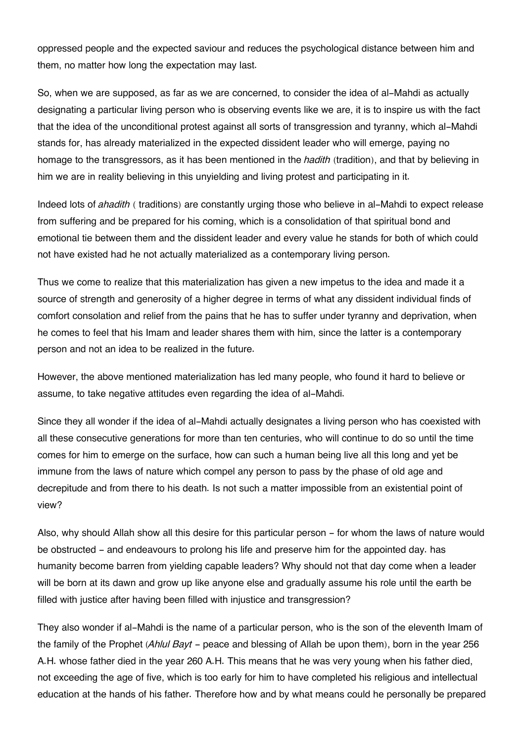oppressed people and the expected saviour and reduces the psychological distance between him and them, no matter how long the expectation may last.

So, when we are supposed, as far as we are concerned, to consider the idea of al-Mahdi as actually designating a particular living person who is observing events like we are, it is to inspire us with the fact that the idea of the unconditional protest against all sorts of transgression and tyranny, which al-Mahdi stands for, has already materialized in the expected dissident leader who will emerge, paying no homage to the transgressors, as it has been mentioned in the *hadith* (tradition), and that by believing in him we are in reality believing in this unyielding and living protest and participating in it.

Indeed lots of *ahadith* ( traditions) are constantly urging those who believe in al-Mahdi to expect release from suffering and be prepared for his coming, which is a consolidation of that spiritual bond and emotional tie between them and the dissident leader and every value he stands for both of which could not have existed had he not actually materialized as a contemporary living person.

Thus we come to realize that this materialization has given a new impetus to the idea and made it a source of strength and generosity of a higher degree in terms of what any dissident individual finds of comfort consolation and relief from the pains that he has to suffer under tyranny and deprivation, when he comes to feel that his Imam and leader shares them with him, since the latter is a contemporary person and not an idea to be realized in the future.

However, the above mentioned materialization has led many people, who found it hard to believe or assume, to take negative attitudes even regarding the idea of al-Mahdi.

Since they all wonder if the idea of al-Mahdi actually designates a living person who has coexisted with all these consecutive generations for more than ten centuries, who will continue to do so until the time comes for him to emerge on the surface, how can such a human being live all this long and yet be immune from the laws of nature which compel any person to pass by the phase of old age and decrepitude and from there to his death. Is not such a matter impossible from an existential point of view?

Also, why should Allah show all this desire for this particular person – for whom the laws of nature would be obstructed - and endeavours to prolong his life and preserve him for the appointed day. has humanity become barren from yielding capable leaders? Why should not that day come when a leader will be born at its dawn and grow up like anyone else and gradually assume his role until the earth be filled with justice after having been filled with injustice and transgression?

They also wonder if al-Mahdi is the name of a particular person, who is the son of the eleventh Imam of the family of the Prophet (*Ahlul Bayt* - peace and blessing of Allah be upon them), born in the year 256 A.H. whose father died in the year 260 A.H. This means that he was very young when his father died, not exceeding the age of five, which is too early for him to have completed his religious and intellectual education at the hands of his father. Therefore how and by what means could he personally be prepared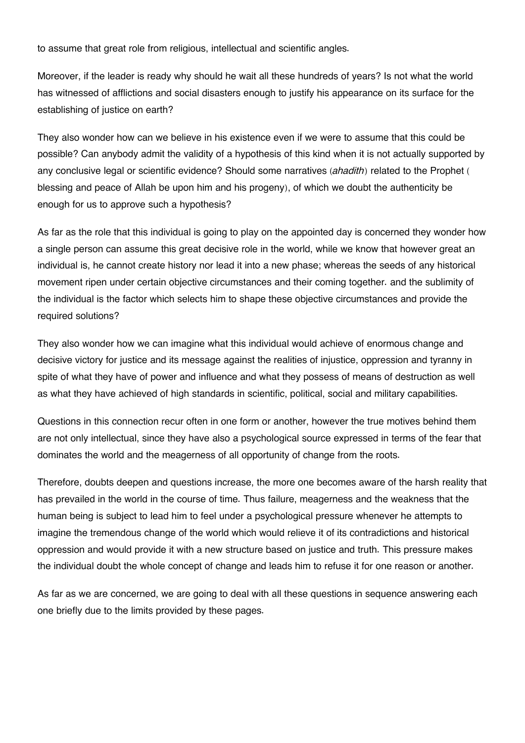to assume that great role from religious, intellectual and scientific angles.

Moreover, if the leader is ready why should he wait all these hundreds of years? Is not what the world has witnessed of afflictions and social disasters enough to justify his appearance on its surface for the establishing of justice on earth?

They also wonder how can we believe in his existence even if we were to assume that this could be possible? Can anybody admit the validity of a hypothesis of this kind when it is not actually supported by any conclusive legal or scientific evidence? Should some narratives (*ahadith*) related to the Prophet ( blessing and peace of Allah be upon him and his progeny), of which we doubt the authenticity be enough for us to approve such a hypothesis?

As far as the role that this individual is going to play on the appointed day is concerned they wonder how a single person can assume this great decisive role in the world, while we know that however great an individual is, he cannot create history nor lead it into a new phase; whereas the seeds of any historical movement ripen under certain objective circumstances and their coming together. and the sublimity of the individual is the factor which selects him to shape these objective circumstances and provide the required solutions?

They also wonder how we can imagine what this individual would achieve of enormous change and decisive victory for justice and its message against the realities of injustice, oppression and tyranny in spite of what they have of power and influence and what they possess of means of destruction as well as what they have achieved of high standards in scientific, political, social and military capabilities.

Questions in this connection recur often in one form or another, however the true motives behind them are not only intellectual, since they have also a psychological source expressed in terms of the fear that dominates the world and the meagerness of all opportunity of change from the roots.

Therefore, doubts deepen and questions increase, the more one becomes aware of the harsh reality that has prevailed in the world in the course of time. Thus failure, meagerness and the weakness that the human being is subject to lead him to feel under a psychological pressure whenever he attempts to imagine the tremendous change of the world which would relieve it of its contradictions and historical oppression and would provide it with a new structure based on justice and truth. This pressure makes the individual doubt the whole concept of change and leads him to refuse it for one reason or another.

As far as we are concerned, we are going to deal with all these questions in sequence answering each one briefly due to the limits provided by these pages.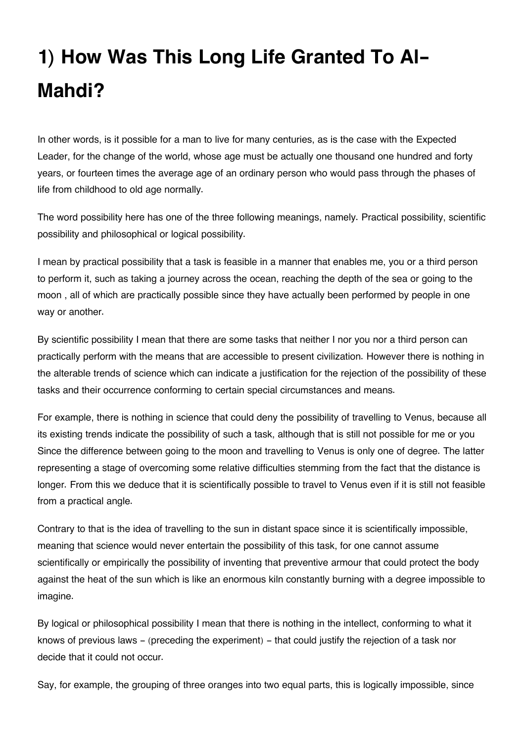# **1) How Was This Long Life Granted To Al-Mahdi?**

In other words, is it possible for a man to live for many centuries, as is the case with the Expected Leader, for the change of the world, whose age must be actually one thousand one hundred and forty years, or fourteen times the average age of an ordinary person who would pass through the phases of life from childhood to old age normally.

The word possibility here has one of the three following meanings, namely. Practical possibility, scientific possibility and philosophical or logical possibility.

I mean by practical possibility that a task is feasible in a manner that enables me, you or a third person to perform it, such as taking a journey across the ocean, reaching the depth of the sea or going to the moon , all of which are practically possible since they have actually been performed by people in one way or another.

By scientific possibility I mean that there are some tasks that neither I nor you nor a third person can practically perform with the means that are accessible to present civilization. However there is nothing in the alterable trends of science which can indicate a justification for the rejection of the possibility of these tasks and their occurrence conforming to certain special circumstances and means.

For example, there is nothing in science that could deny the possibility of travelling to Venus, because all its existing trends indicate the possibility of such a task, although that is still not possible for me or you Since the difference between going to the moon and travelling to Venus is only one of degree. The latter representing a stage of overcoming some relative difficulties stemming from the fact that the distance is longer. From this we deduce that it is scientifically possible to travel to Venus even if it is still not feasible from a practical angle.

Contrary to that is the idea of travelling to the sun in distant space since it is scientifically impossible, meaning that science would never entertain the possibility of this task, for one cannot assume scientifically or empirically the possibility of inventing that preventive armour that could protect the body against the heat of the sun which is like an enormous kiln constantly burning with a degree impossible to imagine.

By logical or philosophical possibility I mean that there is nothing in the intellect, conforming to what it knows of previous laws - (preceding the experiment) - that could justify the rejection of a task nor decide that it could not occur.

Say, for example, the grouping of three oranges into two equal parts, this is logically impossible, since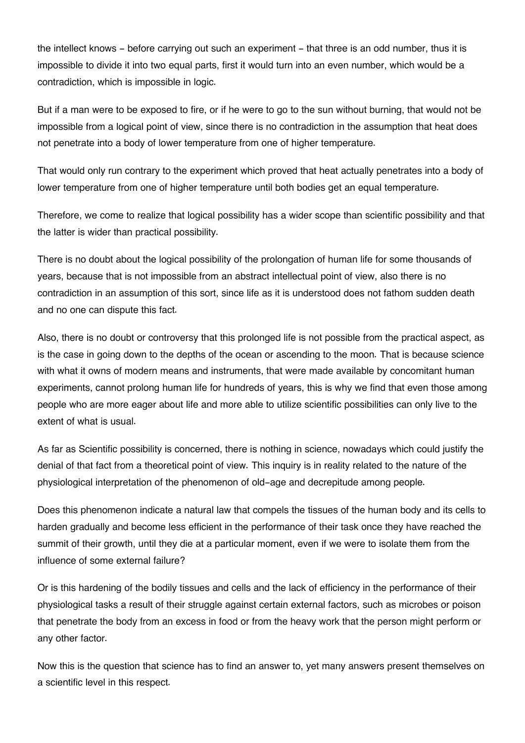the intellect knows – before carrying out such an experiment – that three is an odd number, thus it is impossible to divide it into two equal parts, first it would turn into an even number, which would be a contradiction, which is impossible in logic.

But if a man were to be exposed to fire, or if he were to go to the sun without burning, that would not be impossible from a logical point of view, since there is no contradiction in the assumption that heat does not penetrate into a body of lower temperature from one of higher temperature.

That would only run contrary to the experiment which proved that heat actually penetrates into a body of lower temperature from one of higher temperature until both bodies get an equal temperature.

Therefore, we come to realize that logical possibility has a wider scope than scientific possibility and that the latter is wider than practical possibility.

There is no doubt about the logical possibility of the prolongation of human life for some thousands of years, because that is not impossible from an abstract intellectual point of view, also there is no contradiction in an assumption of this sort, since life as it is understood does not fathom sudden death and no one can dispute this fact.

Also, there is no doubt or controversy that this prolonged life is not possible from the practical aspect, as is the case in going down to the depths of the ocean or ascending to the moon. That is because science with what it owns of modern means and instruments, that were made available by concomitant human experiments, cannot prolong human life for hundreds of years, this is why we find that even those among people who are more eager about life and more able to utilize scientific possibilities can only live to the extent of what is usual.

As far as Scientific possibility is concerned, there is nothing in science, nowadays which could justify the denial of that fact from a theoretical point of view. This inquiry is in reality related to the nature of the physiological interpretation of the phenomenon of old-age and decrepitude among people.

Does this phenomenon indicate a natural law that compels the tissues of the human body and its cells to harden gradually and become less efficient in the performance of their task once they have reached the summit of their growth, until they die at a particular moment, even if we were to isolate them from the influence of some external failure?

Or is this hardening of the bodily tissues and cells and the lack of efficiency in the performance of their physiological tasks a result of their struggle against certain external factors, such as microbes or poison that penetrate the body from an excess in food or from the heavy work that the person might perform or any other factor.

Now this is the question that science has to find an answer to, yet many answers present themselves on a scientific level in this respect.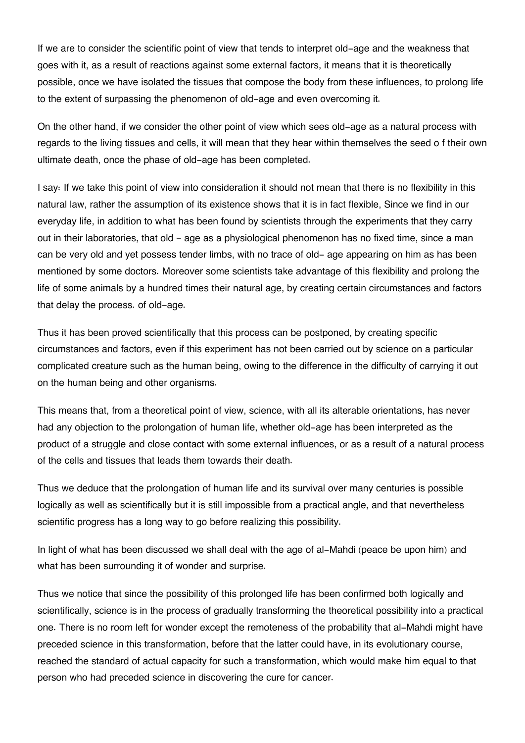If we are to consider the scientific point of view that tends to interpret old-age and the weakness that goes with it, as a result of reactions against some external factors, it means that it is theoretically possible, once we have isolated the tissues that compose the body from these influences, to prolong life to the extent of surpassing the phenomenon of old-age and even overcoming it.

On the other hand, if we consider the other point of view which sees old-age as a natural process with regards to the living tissues and cells, it will mean that they hear within themselves the seed o f their own ultimate death, once the phase of old-age has been completed.

I say: If we take this point of view into consideration it should not mean that there is no flexibility in this natural law, rather the assumption of its existence shows that it is in fact flexible, Since we find in our everyday life, in addition to what has been found by scientists through the experiments that they carry out in their laboratories, that old - age as a physiological phenomenon has no fixed time, since a man can be very old and yet possess tender limbs, with no trace of old- age appearing on him as has been mentioned by some doctors. Moreover some scientists take advantage of this flexibility and prolong the life of some animals by a hundred times their natural age, by creating certain circumstances and factors that delay the process. of old-age.

Thus it has been proved scientifically that this process can be postponed, by creating specific circumstances and factors, even if this experiment has not been carried out by science on a particular complicated creature such as the human being, owing to the difference in the difficulty of carrying it out on the human being and other organisms.

This means that, from a theoretical point of view, science, with all its alterable orientations, has never had any objection to the prolongation of human life, whether old-age has been interpreted as the product of a struggle and close contact with some external influences, or as a result of a natural process of the cells and tissues that leads them towards their death.

Thus we deduce that the prolongation of human life and its survival over many centuries is possible logically as well as scientifically but it is still impossible from a practical angle, and that nevertheless scientific progress has a long way to go before realizing this possibility.

In light of what has been discussed we shall deal with the age of al-Mahdi (peace be upon him) and what has been surrounding it of wonder and surprise.

Thus we notice that since the possibility of this prolonged life has been confirmed both logically and scientifically, science is in the process of gradually transforming the theoretical possibility into a practical one. There is no room left for wonder except the remoteness of the probability that al-Mahdi might have preceded science in this transformation, before that the latter could have, in its evolutionary course, reached the standard of actual capacity for such a transformation, which would make him equal to that person who had preceded science in discovering the cure for cancer.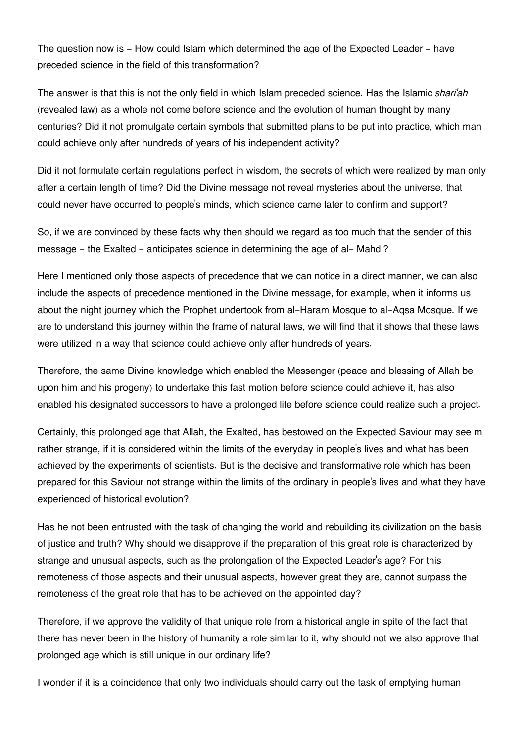The question now is - How could Islam which determined the age of the Expected Leader - have preceded science in the field of this transformation?

The answer is that this is not the only field in which Islam preceded science. Has the Islamic *shari'ah* (revealed law) as a whole not come before science and the evolution of human thought by many centuries? Did it not promulgate certain symbols that submitted plans to be put into practice, which man could achieve only after hundreds of years of his independent activity?

Did it not formulate certain regulations perfect in wisdom, the secrets of which were realized by man only after a certain length of time? Did the Divine message not reveal mysteries about the universe, that could never have occurred to people's minds, which science came later to confirm and support?

So, if we are convinced by these facts why then should we regard as too much that the sender of this message - the Exalted - anticipates science in determining the age of al- Mahdi?

Here I mentioned only those aspects of precedence that we can notice in a direct manner, we can also include the aspects of precedence mentioned in the Divine message, for example, when it informs us about the night journey which the Prophet undertook from al-Haram Mosque to al-Aqsa Mosque. If we are to understand this journey within the frame of natural laws, we will find that it shows that these laws were utilized in a way that science could achieve only after hundreds of years.

Therefore, the same Divine knowledge which enabled the Messenger (peace and blessing of Allah be upon him and his progeny) to undertake this fast motion before science could achieve it, has also enabled his designated successors to have a prolonged life before science could realize such a project.

Certainly, this prolonged age that Allah, the Exalted, has bestowed on the Expected Saviour may see m rather strange, if it is considered within the limits of the everyday in people's lives and what has been achieved by the experiments of scientists. But is the decisive and transformative role which has been prepared for this Saviour not strange within the limits of the ordinary in people's lives and what they have experienced of historical evolution?

Has he not been entrusted with the task of changing the world and rebuilding its civilization on the basis of justice and truth? Why should we disapprove if the preparation of this great role is characterized by strange and unusual aspects, such as the prolongation of the Expected Leader's age? For this remoteness of those aspects and their unusual aspects, however great they are, cannot surpass the remoteness of the great role that has to be achieved on the appointed day?

Therefore, if we approve the validity of that unique role from a historical angle in spite of the fact that there has never been in the history of humanity a role similar to it, why should not we also approve that prolonged age which is still unique in our ordinary life?

I wonder if it is a coincidence that only two individuals should carry out the task of emptying human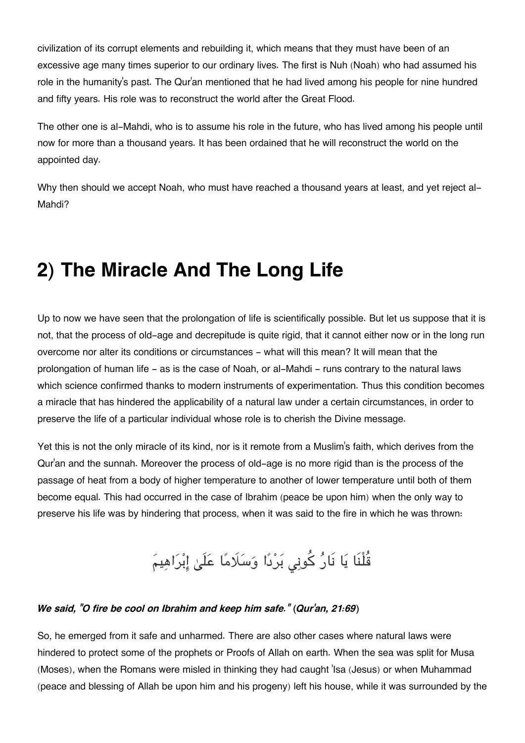civilization of its corrupt elements and rebuilding it, which means that they must have been of an excessive age many times superior to our ordinary lives. The first is Nuh (Noah) who had assumed his role in the humanity's past. The Qur'an mentioned that he had lived among his people for nine hundred and fifty years. His role was to reconstruct the world after the Great Flood.

The other one is al-Mahdi, who is to assume his role in the future, who has lived among his people until now for more than a thousand years. It has been ordained that he will reconstruct the world on the appointed day.

Why then should we accept Noah, who must have reached a thousand years at least, and yet reject al-Mahdi?

### **2) The Miracle And The Long Life**

Up to now we have seen that the prolongation of life is scientifically possible. But let us suppose that it is not, that the process of old-age and decrepitude is quite rigid, that it cannot either now or in the long run overcome nor alter its conditions or circumstances - what will this mean? It will mean that the prolongation of human life - as is the case of Noah, or al-Mahdi - runs contrary to the natural laws which science confirmed thanks to modern instruments of experimentation. Thus this condition becomes a miracle that has hindered the applicability of a natural law under a certain circumstances, in order to preserve the life of a particular individual whose role is to cherish the Divine message.

Yet this is not the only miracle of its kind, nor is it remote from a Muslim's faith, which derives from the Qur'an and the sunnah. Moreover the process of old-age is no more rigid than is the process of the passage of heat from a body of higher temperature to another of lower temperature until both of them become equal. This had occurred in the case of Ibrahim (peace be upon him) when the only way to preserve his life was by hindering that process, when it was said to the fire in which he was thrown:

قُلْنَا يَا نَارُ كُونِى بَرْدًا وَسَلَامًا عَلَىٰ إِبْرَاهِيمَ

#### *We said, "O fire be cool on Ibrahim and keep him safe." (Qur'an, 21:69)*

So, he emerged from it safe and unharmed. There are also other cases where natural laws were hindered to protect some of the prophets or Proofs of Allah on earth. When the sea was split for Musa (Moses), when the Romans were misled in thinking they had caught 'Isa (Jesus) or when Muhammad (peace and blessing of Allah be upon him and his progeny) left his house, while it was surrounded by the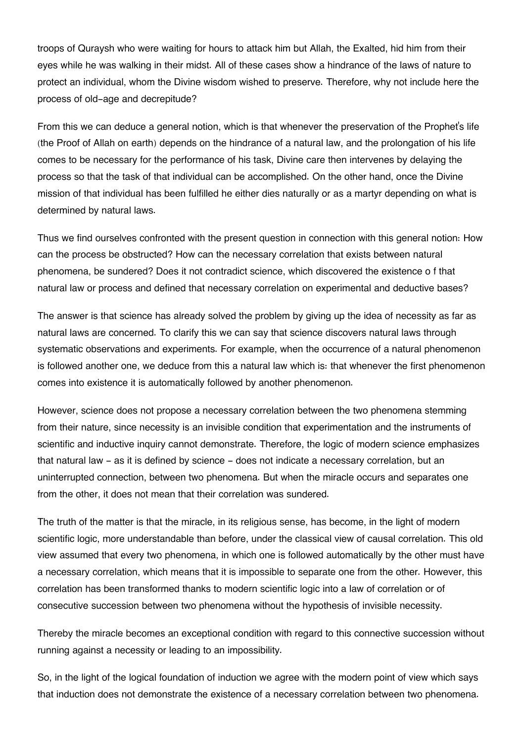troops of Quraysh who were waiting for hours to attack him but Allah, the Exalted, hid him from their eyes while he was walking in their midst. All of these cases show a hindrance of the laws of nature to protect an individual, whom the Divine wisdom wished to preserve. Therefore, why not include here the process of old-age and decrepitude?

From this we can deduce a general notion, which is that whenever the preservation of the Prophet's life (the Proof of Allah on earth) depends on the hindrance of a natural law, and the prolongation of his life comes to be necessary for the performance of his task, Divine care then intervenes by delaying the process so that the task of that individual can be accomplished. On the other hand, once the Divine mission of that individual has been fulfilled he either dies naturally or as a martyr depending on what is determined by natural laws.

Thus we find ourselves confronted with the present question in connection with this general notion: How can the process be obstructed? How can the necessary correlation that exists between natural phenomena, be sundered? Does it not contradict science, which discovered the existence o f that natural law or process and defined that necessary correlation on experimental and deductive bases?

The answer is that science has already solved the problem by giving up the idea of necessity as far as natural laws are concerned. To clarify this we can say that science discovers natural laws through systematic observations and experiments. For example, when the occurrence of a natural phenomenon is followed another one, we deduce from this a natural law which is: that whenever the first phenomenon comes into existence it is automatically followed by another phenomenon.

However, science does not propose a necessary correlation between the two phenomena stemming from their nature, since necessity is an invisible condition that experimentation and the instruments of scientific and inductive inquiry cannot demonstrate. Therefore, the logic of modern science emphasizes that natural law - as it is defined by science - does not indicate a necessary correlation, but an uninterrupted connection, between two phenomena. But when the miracle occurs and separates one from the other, it does not mean that their correlation was sundered.

The truth of the matter is that the miracle, in its religious sense, has become, in the light of modern scientific logic, more understandable than before, under the classical view of causal correlation. This old view assumed that every two phenomena, in which one is followed automatically by the other must have a necessary correlation, which means that it is impossible to separate one from the other. However, this correlation has been transformed thanks to modern scientific logic into a law of correlation or of consecutive succession between two phenomena without the hypothesis of invisible necessity.

Thereby the miracle becomes an exceptional condition with regard to this connective succession without running against a necessity or leading to an impossibility.

So, in the light of the logical foundation of induction we agree with the modern point of view which says that induction does not demonstrate the existence of a necessary correlation between two phenomena.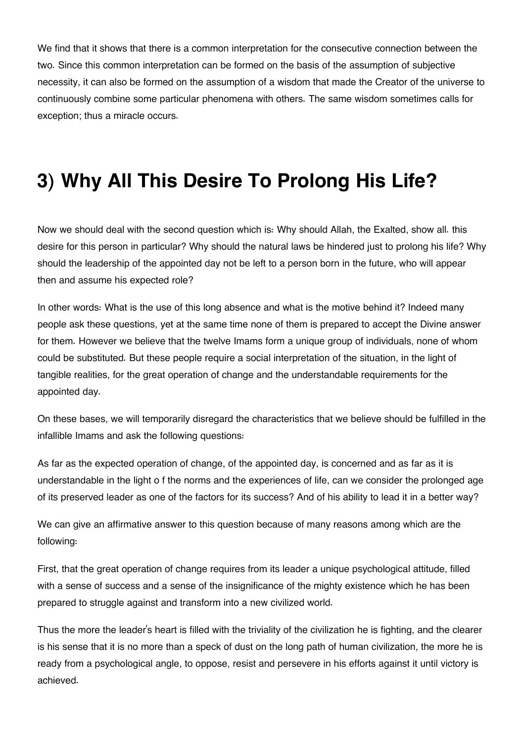We find that it shows that there is a common interpretation for the consecutive connection between the two. Since this common interpretation can be formed on the basis of the assumption of subjective necessity, it can also be formed on the assumption of a wisdom that made the Creator of the universe to continuously combine some particular phenomena with others. The same wisdom sometimes calls for exception; thus a miracle occurs.

## **3) Why All This Desire To Prolong His Life?**

Now we should deal with the second question which is: Why should Allah, the Exalted, show all. this desire for this person in particular? Why should the natural laws be hindered just to prolong his life? Why should the leadership of the appointed day not be left to a person born in the future, who will appear then and assume his expected role?

In other words: What is the use of this long absence and what is the motive behind it? Indeed many people ask these questions, yet at the same time none of them is prepared to accept the Divine answer for them. However we believe that the twelve Imams form a unique group of individuals, none of whom could be substituted. But these people require a social interpretation of the situation, in the light of tangible realities, for the great operation of change and the understandable requirements for the appointed day.

On these bases, we will temporarily disregard the characteristics that we believe should be fulfilled in the infallible Imams and ask the following questions:

As far as the expected operation of change, of the appointed day, is concerned and as far as it is understandable in the light o f the norms and the experiences of life, can we consider the prolonged age of its preserved leader as one of the factors for its success? And of his ability to lead it in a better way?

We can give an affirmative answer to this question because of many reasons among which are the following:

First, that the great operation of change requires from its leader a unique psychological attitude, filled with a sense of success and a sense of the insignificance of the mighty existence which he has been prepared to struggle against and transform into a new civilized world.

Thus the more the leader's heart is filled with the triviality of the civilization he is fighting, and the clearer is his sense that it is no more than a speck of dust on the long path of human civilization, the more he is ready from a psychological angle, to oppose, resist and persevere in his efforts against it until victory is achieved.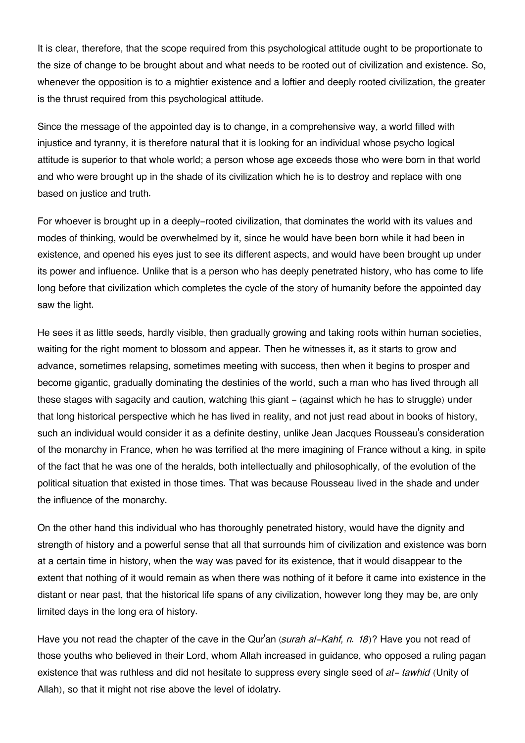It is clear, therefore, that the scope required from this psychological attitude ought to be proportionate to the size of change to be brought about and what needs to be rooted out of civilization and existence. So, whenever the opposition is to a mightier existence and a loftier and deeply rooted civilization, the greater is the thrust required from this psychological attitude.

Since the message of the appointed day is to change, in a comprehensive way, a world filled with injustice and tyranny, it is therefore natural that it is looking for an individual whose psycho logical attitude is superior to that whole world; a person whose age exceeds those who were born in that world and who were brought up in the shade of its civilization which he is to destroy and replace with one based on justice and truth.

For whoever is brought up in a deeply-rooted civilization, that dominates the world with its values and modes of thinking, would be overwhelmed by it, since he would have been born while it had been in existence, and opened his eyes just to see its different aspects, and would have been brought up under its power and influence. Unlike that is a person who has deeply penetrated history, who has come to life long before that civilization which completes the cycle of the story of humanity before the appointed day saw the light.

He sees it as little seeds, hardly visible, then gradually growing and taking roots within human societies, waiting for the right moment to blossom and appear. Then he witnesses it, as it starts to grow and advance, sometimes relapsing, sometimes meeting with success, then when it begins to prosper and become gigantic, gradually dominating the destinies of the world, such a man who has lived through all these stages with sagacity and caution, watching this giant - (against which he has to struggle) under that long historical perspective which he has lived in reality, and not just read about in books of history, such an individual would consider it as a definite destiny, unlike Jean Jacques Rousseau's consideration of the monarchy in France, when he was terrified at the mere imagining of France without a king, in spite of the fact that he was one of the heralds, both intellectually and philosophically, of the evolution of the political situation that existed in those times. That was because Rousseau lived in the shade and under the influence of the monarchy.

On the other hand this individual who has thoroughly penetrated history, would have the dignity and strength of history and a powerful sense that all that surrounds him of civilization and existence was born at a certain time in history, when the way was paved for its existence, that it would disappear to the extent that nothing of it would remain as when there was nothing of it before it came into existence in the distant or near past, that the historical life spans of any civilization, however long they may be, are only limited days in the long era of history.

Have you not read the chapter of the cave in the Qur'an (*surah al-Kahf, n. 18*)? Have you not read of those youths who believed in their Lord, whom Allah increased in guidance, who opposed a ruling pagan existence that was ruthless and did not hesitate to suppress every single seed of *at- tawhid* (Unity of Allah), so that it might not rise above the level of idolatry.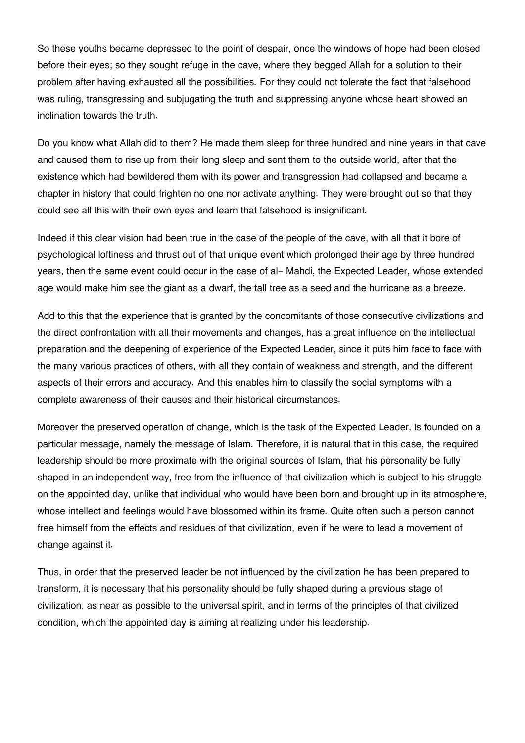So these youths became depressed to the point of despair, once the windows of hope had been closed before their eyes; so they sought refuge in the cave, where they begged Allah for a solution to their problem after having exhausted all the possibilities. For they could not tolerate the fact that falsehood was ruling, transgressing and subjugating the truth and suppressing anyone whose heart showed an inclination towards the truth.

Do you know what Allah did to them? He made them sleep for three hundred and nine years in that cave and caused them to rise up from their long sleep and sent them to the outside world, after that the existence which had bewildered them with its power and transgression had collapsed and became a chapter in history that could frighten no one nor activate anything. They were brought out so that they could see all this with their own eyes and learn that falsehood is insignificant.

Indeed if this clear vision had been true in the case of the people of the cave, with all that it bore of psychological loftiness and thrust out of that unique event which prolonged their age by three hundred years, then the same event could occur in the case of al- Mahdi, the Expected Leader, whose extended age would make him see the giant as a dwarf, the tall tree as a seed and the hurricane as a breeze.

Add to this that the experience that is granted by the concomitants of those consecutive civilizations and the direct confrontation with all their movements and changes, has a great influence on the intellectual preparation and the deepening of experience of the Expected Leader, since it puts him face to face with the many various practices of others, with all they contain of weakness and strength, and the different aspects of their errors and accuracy. And this enables him to classify the social symptoms with a complete awareness of their causes and their historical circumstances.

Moreover the preserved operation of change, which is the task of the Expected Leader, is founded on a particular message, namely the message of Islam. Therefore, it is natural that in this case, the required leadership should be more proximate with the original sources of Islam, that his personality be fully shaped in an independent way, free from the influence of that civilization which is subject to his struggle on the appointed day, unlike that individual who would have been born and brought up in its atmosphere, whose intellect and feelings would have blossomed within its frame. Quite often such a person cannot free himself from the effects and residues of that civilization, even if he were to lead a movement of change against it.

Thus, in order that the preserved leader be not influenced by the civilization he has been prepared to transform, it is necessary that his personality should be fully shaped during a previous stage of civilization, as near as possible to the universal spirit, and in terms of the principles of that civilized condition, which the appointed day is aiming at realizing under his leadership.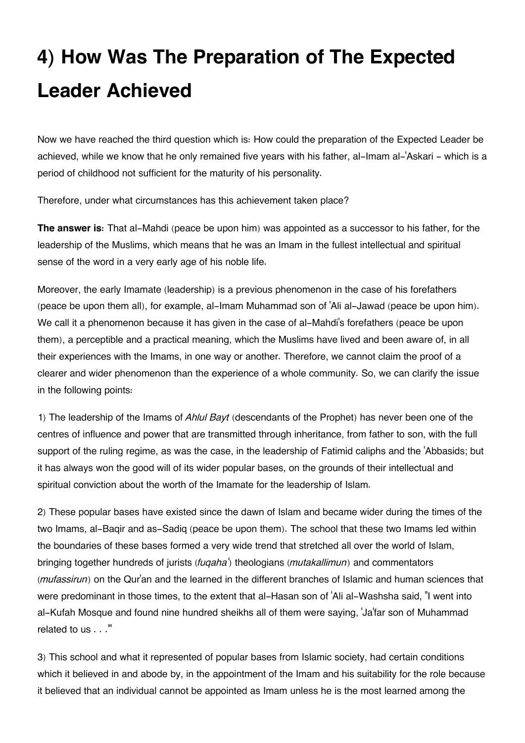# **4) How Was The Preparation of The Expected Leader Achieved**

Now we have reached the third question which is: How could the preparation of the Expected Leader be achieved, while we know that he only remained five years with his father, al-Imam al-'Askari - which is a period of childhood not sufficient for the maturity of his personality.

Therefore, under what circumstances has this achievement taken place?

**The answer is:** That al-Mahdi (peace be upon him) was appointed as a successor to his father, for the leadership of the Muslims, which means that he was an Imam in the fullest intellectual and spiritual sense of the word in a very early age of his noble life.

Moreover, the early Imamate (leadership) is a previous phenomenon in the case of his forefathers (peace be upon them all), for example, al-Imam Muhammad son of 'Ali al-Jawad (peace be upon him). We call it a phenomenon because it has given in the case of al-Mahdi's forefathers (peace be upon them), a perceptible and a practical meaning, which the Muslims have lived and been aware of, in all their experiences with the Imams, in one way or another. Therefore, we cannot claim the proof of a clearer and wider phenomenon than the experience of a whole community. So, we can clarify the issue in the following points:

1) The leadership of the Imams of *Ahlul Bayt* (descendants of the Prophet) has never been one of the centres of influence and power that are transmitted through inheritance, from father to son, with the full support of the ruling regime, as was the case, in the leadership of Fatimid caliphs and the 'Abbasids; but it has always won the good will of its wider popular bases, on the grounds of their intellectual and spiritual conviction about the worth of the Imamate for the leadership of Islam.

2) These popular bases have existed since the dawn of Islam and became wider during the times of the two Imams, al-Baqir and as-Sadiq (peace be upon them). The school that these two Imams led within the boundaries of these bases formed a very wide trend that stretched all over the world of Islam, bringing together hundreds of jurists (*fuqaha'*) theologians (*mutakallimun*) and commentators (*mufassirun*) on the Qur'an and the learned in the different branches of Islamic and human sciences that were predominant in those times, to the extent that al-Hasan son of 'Ali al-Washsha said, "I went into al-Kufah Mosque and found nine hundred sheikhs all of them were saying, 'Ja'far son of Muhammad related to us . . .'"

3) This school and what it represented of popular bases from Islamic society, had certain conditions which it believed in and abode by, in the appointment of the Imam and his suitability for the role because it believed that an individual cannot be appointed as Imam unless he is the most learned among the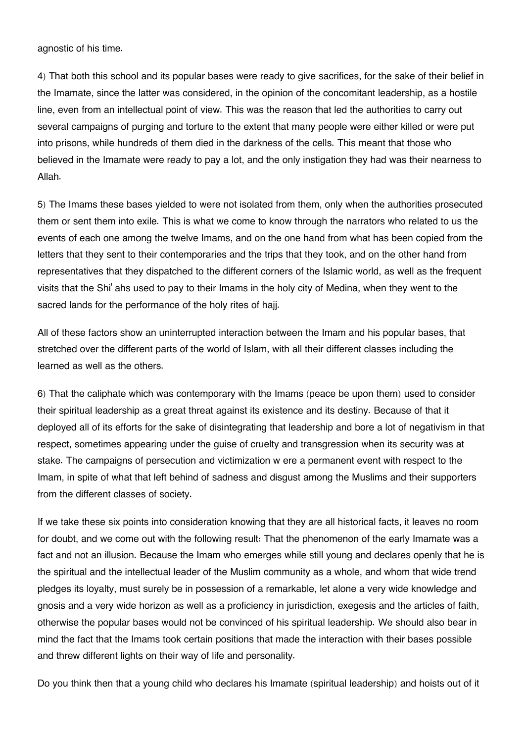agnostic of his time.

4) That both this school and its popular bases were ready to give sacrifices, for the sake of their belief in the Imamate, since the latter was considered, in the opinion of the concomitant leadership, as a hostile line, even from an intellectual point of view. This was the reason that led the authorities to carry out several campaigns of purging and torture to the extent that many people were either killed or were put into prisons, while hundreds of them died in the darkness of the cells. This meant that those who believed in the Imamate were ready to pay a lot, and the only instigation they had was their nearness to Allah.

5) The Imams these bases yielded to were not isolated from them, only when the authorities prosecuted them or sent them into exile. This is what we come to know through the narrators who related to us the events of each one among the twelve Imams, and on the one hand from what has been copied from the letters that they sent to their contemporaries and the trips that they took, and on the other hand from representatives that they dispatched to the different corners of the Islamic world, as well as the frequent visits that the Shi' ahs used to pay to their Imams in the holy city of Medina, when they went to the sacred lands for the performance of the holy rites of hajj.

All of these factors show an uninterrupted interaction between the Imam and his popular bases, that stretched over the different parts of the world of Islam, with all their different classes including the learned as well as the others.

6) That the caliphate which was contemporary with the Imams (peace be upon them) used to consider their spiritual leadership as a great threat against its existence and its destiny. Because of that it deployed all of its efforts for the sake of disintegrating that leadership and bore a lot of negativism in that respect, sometimes appearing under the guise of cruelty and transgression when its security was at stake. The campaigns of persecution and victimization w ere a permanent event with respect to the Imam, in spite of what that left behind of sadness and disgust among the Muslims and their supporters from the different classes of society.

If we take these six points into consideration knowing that they are all historical facts, it leaves no room for doubt, and we come out with the following result: That the phenomenon of the early Imamate was a fact and not an illusion. Because the Imam who emerges while still young and declares openly that he is the spiritual and the intellectual leader of the Muslim community as a whole, and whom that wide trend pledges its loyalty, must surely be in possession of a remarkable, let alone a very wide knowledge and gnosis and a very wide horizon as well as a proficiency in jurisdiction, exegesis and the articles of faith, otherwise the popular bases would not be convinced of his spiritual leadership. We should also bear in mind the fact that the Imams took certain positions that made the interaction with their bases possible and threw different lights on their way of life and personality.

Do you think then that a young child who declares his Imamate (spiritual leadership) and hoists out of it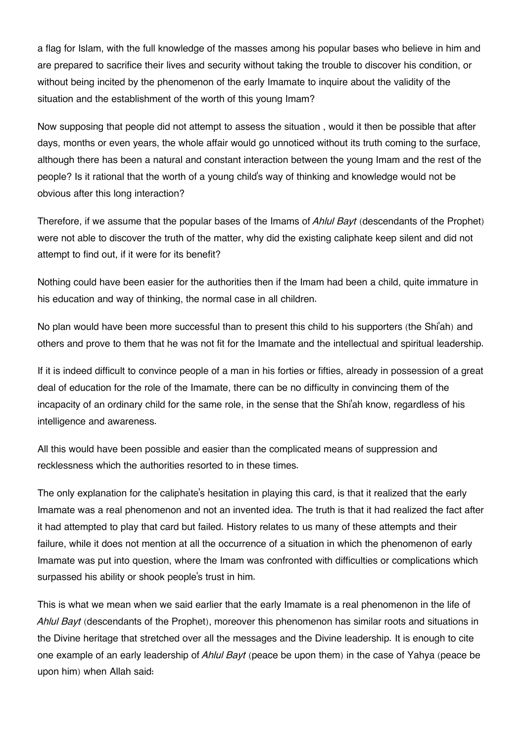a flag for Islam, with the full knowledge of the masses among his popular bases who believe in him and are prepared to sacrifice their lives and security without taking the trouble to discover his condition, or without being incited by the phenomenon of the early Imamate to inquire about the validity of the situation and the establishment of the worth of this young Imam?

Now supposing that people did not attempt to assess the situation , would it then be possible that after days, months or even years, the whole affair would go unnoticed without its truth coming to the surface, although there has been a natural and constant interaction between the young Imam and the rest of the people? Is it rational that the worth of a young child's way of thinking and knowledge would not be obvious after this long interaction?

Therefore, if we assume that the popular bases of the Imams of *Ahlul Bayt* (descendants of the Prophet) were not able to discover the truth of the matter, why did the existing caliphate keep silent and did not attempt to find out, if it were for its benefit?

Nothing could have been easier for the authorities then if the Imam had been a child, quite immature in his education and way of thinking, the normal case in all children.

No plan would have been more successful than to present this child to his supporters (the Shi'ah) and others and prove to them that he was not fit for the Imamate and the intellectual and spiritual leadership.

If it is indeed difficult to convince people of a man in his forties or fifties, already in possession of a great deal of education for the role of the Imamate, there can be no difficulty in convincing them of the incapacity of an ordinary child for the same role, in the sense that the Shi'ah know, regardless of his intelligence and awareness.

All this would have been possible and easier than the complicated means of suppression and recklessness which the authorities resorted to in these times.

The only explanation for the caliphate's hesitation in playing this card, is that it realized that the early Imamate was a real phenomenon and not an invented idea. The truth is that it had realized the fact after it had attempted to play that card but failed. History relates to us many of these attempts and their failure, while it does not mention at all the occurrence of a situation in which the phenomenon of early Imamate was put into question, where the Imam was confronted with difficulties or complications which surpassed his ability or shook people's trust in him.

This is what we mean when we said earlier that the early Imamate is a real phenomenon in the life of *Ahlul Bayt* (descendants of the Prophet), moreover this phenomenon has similar roots and situations in the Divine heritage that stretched over all the messages and the Divine leadership. It is enough to cite one example of an early leadership of *Ahlul Bayt* (peace be upon them) in the case of Yahya (peace be upon him) when Allah said: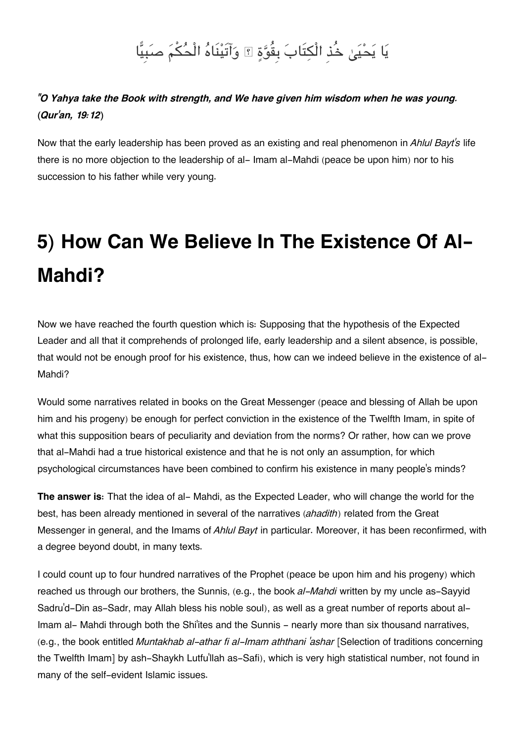# يَا يَحْيَىٰ خُذِ الْكِتَابَ بِقُوَّةٍ ۞ وَآتَيْنَاهُ الْحُكْمَ صَبَيًّا

#### *"O Yahya take the Book with strength, and We have given him wisdom when he was young. (Qur'an, 19:12)*

Now that the early leadership has been proved as an existing and real phenomenon in *Ahlul Bayt's* life there is no more objection to the leadership of al- Imam al-Mahdi (peace be upon him) nor to his succession to his father while very young.

# **5) How Can We Believe In The Existence Of Al-Mahdi?**

Now we have reached the fourth question which is: Supposing that the hypothesis of the Expected Leader and all that it comprehends of prolonged life, early leadership and a silent absence, is possible, that would not be enough proof for his existence, thus, how can we indeed believe in the existence of al-Mahdi?

Would some narratives related in books on the Great Messenger (peace and blessing of Allah be upon him and his progeny) be enough for perfect conviction in the existence of the Twelfth Imam, in spite of what this supposition bears of peculiarity and deviation from the norms? Or rather, how can we prove that al-Mahdi had a true historical existence and that he is not only an assumption, for which psychological circumstances have been combined to confirm his existence in many people's minds?

**The answer is:** That the idea of al- Mahdi, as the Expected Leader, who will change the world for the best, has been already mentioned in several of the narratives (*ahadith*) related from the Great Messenger in general, and the Imams of *Ahlul Bayt* in particular. Moreover, it has been reconfirmed, with a degree beyond doubt, in many texts.

I could count up to four hundred narratives of the Prophet (peace be upon him and his progeny) which reached us through our brothers, the Sunnis, (e.g., the book *al-Mahdi* written by my uncle as-Sayyid Sadru'd-Din as-Sadr, may Allah bless his noble soul), as well as a great number of reports about al-Imam al- Mahdi through both the Shi<sup>'</sup>ites and the Sunnis - nearly more than six thousand narratives, (e.g., the book entitled *Muntakhab al-athar fi al-Imam aththani 'ashar* [Selection of traditions concerning the Twelfth Imam] by ash-Shaykh Lutfu'llah as-Safi), which is very high statistical number, not found in many of the self-evident Islamic issues.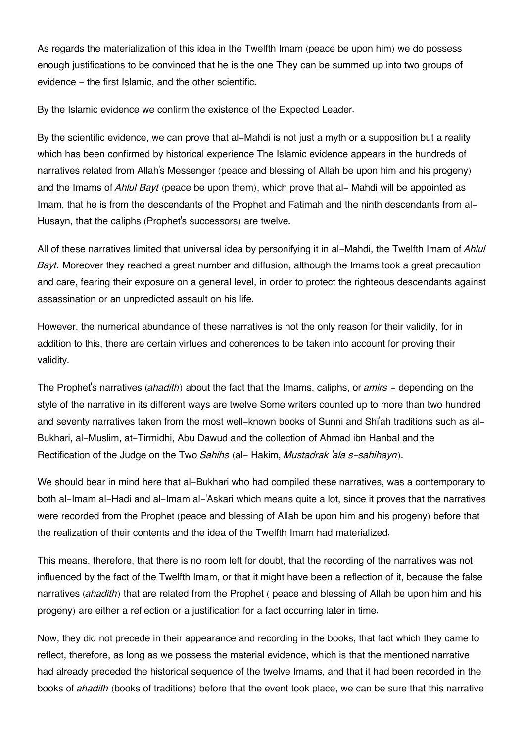As regards the materialization of this idea in the Twelfth Imam (peace be upon him) we do possess enough justifications to be convinced that he is the one They can be summed up into two groups of evidence - the first Islamic, and the other scientific.

By the Islamic evidence we confirm the existence of the Expected Leader.

By the scientific evidence, we can prove that al-Mahdi is not just a myth or a supposition but a reality which has been confirmed by historical experience The Islamic evidence appears in the hundreds of narratives related from Allah's Messenger (peace and blessing of Allah be upon him and his progeny) and the Imams of *Ahlul Bayt* (peace be upon them), which prove that al- Mahdi will be appointed as Imam, that he is from the descendants of the Prophet and Fatimah and the ninth descendants from al-Husayn, that the caliphs (Prophet's successors) are twelve.

All of these narratives limited that universal idea by personifying it in al-Mahdi, the Twelfth Imam of *Ahlul Bayt*. Moreover they reached a great number and diffusion, although the Imams took a great precaution and care, fearing their exposure on a general level, in order to protect the righteous descendants against assassination or an unpredicted assault on his life.

However, the numerical abundance of these narratives is not the only reason for their validity, for in addition to this, there are certain virtues and coherences to be taken into account for proving their validity.

The Prophet's narratives (*ahadith*) about the fact that the Imams, caliphs, or *amirs* - depending on the style of the narrative in its different ways are twelve Some writers counted up to more than two hundred and seventy narratives taken from the most well-known books of Sunni and Shi'ah traditions such as al-Bukhari, al-Muslim, at-Tirmidhi, Abu Dawud and the collection of Ahmad ibn Hanbal and the Rectification of the Judge on the Two *Sahihs* (al- Hakim, *Mustadrak 'ala s-sahihayn*).

We should bear in mind here that al-Bukhari who had compiled these narratives, was a contemporary to both al-Imam al-Hadi and al-Imam al-'Askari which means quite a lot, since it proves that the narratives were recorded from the Prophet (peace and blessing of Allah be upon him and his progeny) before that the realization of their contents and the idea of the Twelfth Imam had materialized.

This means, therefore, that there is no room left for doubt, that the recording of the narratives was not influenced by the fact of the Twelfth Imam, or that it might have been a reflection of it, because the false narratives (*ahadith*) that are related from the Prophet ( peace and blessing of Allah be upon him and his progeny) are either a reflection or a justification for a fact occurring later in time.

Now, they did not precede in their appearance and recording in the books, that fact which they came to reflect, therefore, as long as we possess the material evidence, which is that the mentioned narrative had already preceded the historical sequence of the twelve Imams, and that it had been recorded in the books of *ahadith* (books of traditions) before that the event took place, we can be sure that this narrative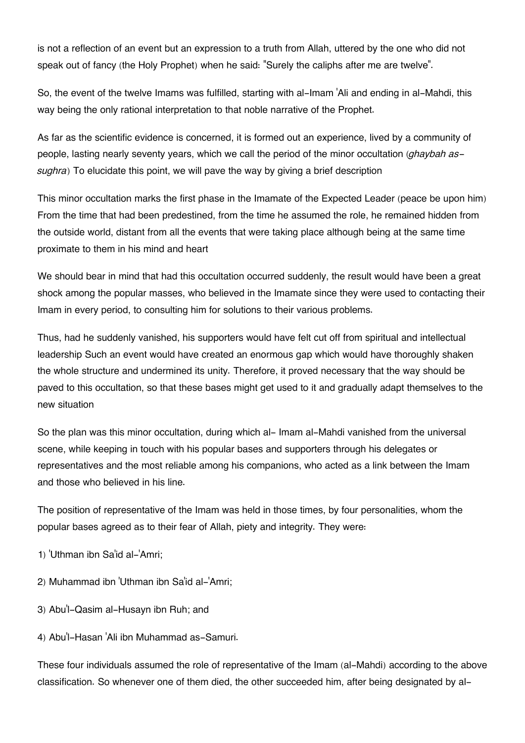is not a reflection of an event but an expression to a truth from Allah, uttered by the one who did not speak out of fancy (the Holy Prophet) when he said: "Surely the caliphs after me are twelve".

So, the event of the twelve Imams was fulfilled, starting with al-Imam 'Ali and ending in al-Mahdi, this way being the only rational interpretation to that noble narrative of the Prophet.

As far as the scientific evidence is concerned, it is formed out an experience, lived by a community of people, lasting nearly seventy years, which we call the period of the minor occultation (*ghaybah assughra*) To elucidate this point, we will pave the way by giving a brief description

This minor occultation marks the first phase in the Imamate of the Expected Leader (peace be upon him) From the time that had been predestined, from the time he assumed the role, he remained hidden from the outside world, distant from all the events that were taking place although being at the same time proximate to them in his mind and heart

We should bear in mind that had this occultation occurred suddenly, the result would have been a great shock among the popular masses, who believed in the Imamate since they were used to contacting their Imam in every period, to consulting him for solutions to their various problems.

Thus, had he suddenly vanished, his supporters would have felt cut off from spiritual and intellectual leadership Such an event would have created an enormous gap which would have thoroughly shaken the whole structure and undermined its unity. Therefore, it proved necessary that the way should be paved to this occultation, so that these bases might get used to it and gradually adapt themselves to the new situation

So the plan was this minor occultation, during which al- Imam al-Mahdi vanished from the universal scene, while keeping in touch with his popular bases and supporters through his delegates or representatives and the most reliable among his companions, who acted as a link between the Imam and those who believed in his line.

The position of representative of the Imam was held in those times, by four personalities, whom the popular bases agreed as to their fear of Allah, piety and integrity. They were:

- 1) 'Uthman ibn Sa'id al-'Amri;
- 2) Muhammad ibn 'Uthman ibn Sa'id al-'Amri;
- 3) Abu'l-Qasim al-Husayn ibn Ruh; and
- 4) Abu'l-Hasan 'Ali ibn Muhammad as-Samuri.

These four individuals assumed the role of representative of the Imam (al-Mahdi) according to the above classification. So whenever one of them died, the other succeeded him, after being designated by al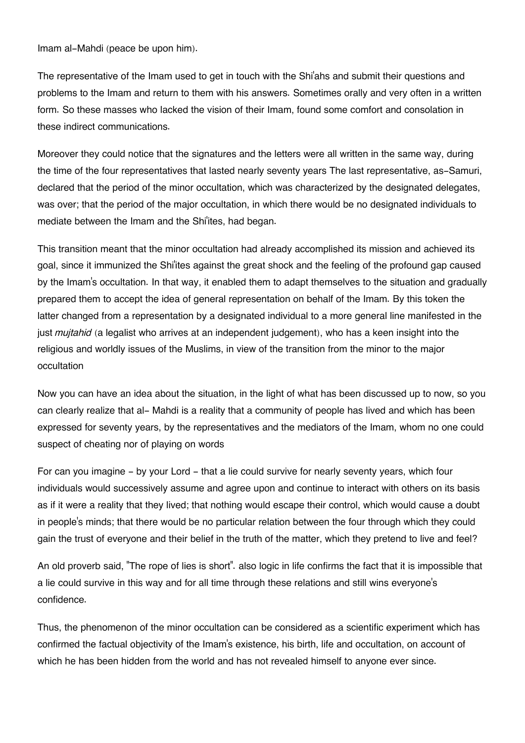Imam al-Mahdi (peace be upon him).

The representative of the Imam used to get in touch with the Shi'ahs and submit their questions and problems to the Imam and return to them with his answers. Sometimes orally and very often in a written form. So these masses who lacked the vision of their Imam, found some comfort and consolation in these indirect communications.

Moreover they could notice that the signatures and the letters were all written in the same way, during the time of the four representatives that lasted nearly seventy years The last representative, as-Samuri, declared that the period of the minor occultation, which was characterized by the designated delegates, was over; that the period of the major occultation, in which there would be no designated individuals to mediate between the Imam and the Shi'ites, had began.

This transition meant that the minor occultation had already accomplished its mission and achieved its goal, since it immunized the Shi'ites against the great shock and the feeling of the profound gap caused by the Imam's occultation. In that way, it enabled them to adapt themselves to the situation and gradually prepared them to accept the idea of general representation on behalf of the Imam. By this token the latter changed from a representation by a designated individual to a more general line manifested in the just *mujtahid* (a legalist who arrives at an independent judgement), who has a keen insight into the religious and worldly issues of the Muslims, in view of the transition from the minor to the major occultation

Now you can have an idea about the situation, in the light of what has been discussed up to now, so you can clearly realize that al- Mahdi is a reality that a community of people has lived and which has been expressed for seventy years, by the representatives and the mediators of the Imam, whom no one could suspect of cheating nor of playing on words

For can you imagine - by your Lord - that a lie could survive for nearly seventy years, which four individuals would successively assume and agree upon and continue to interact with others on its basis as if it were a reality that they lived; that nothing would escape their control, which would cause a doubt in people's minds; that there would be no particular relation between the four through which they could gain the trust of everyone and their belief in the truth of the matter, which they pretend to live and feel?

An old proverb said, "The rope of lies is short". also logic in life confirms the fact that it is impossible that a lie could survive in this way and for all time through these relations and still wins everyone's confidence.

Thus, the phenomenon of the minor occultation can be considered as a scientific experiment which has confirmed the factual objectivity of the Imam's existence, his birth, life and occultation, on account of which he has been hidden from the world and has not revealed himself to anyone ever since.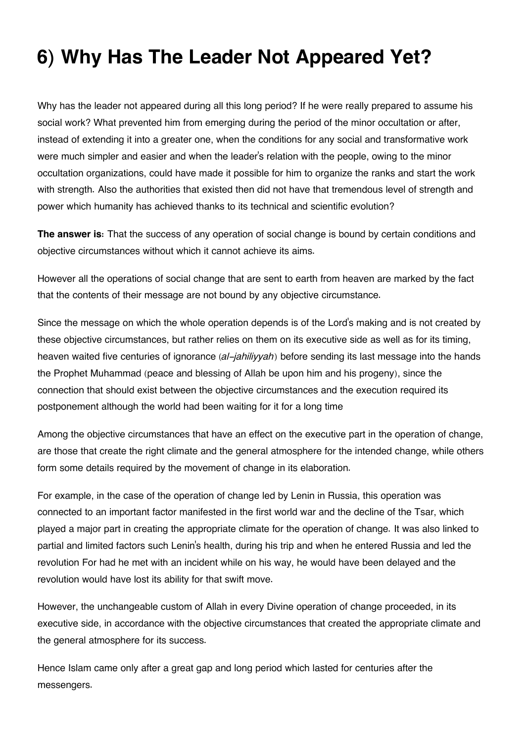## **6) Why Has The Leader Not Appeared Yet?**

Why has the leader not appeared during all this long period? If he were really prepared to assume his social work? What prevented him from emerging during the period of the minor occultation or after, instead of extending it into a greater one, when the conditions for any social and transformative work were much simpler and easier and when the leader's relation with the people, owing to the minor occultation organizations, could have made it possible for him to organize the ranks and start the work with strength. Also the authorities that existed then did not have that tremendous level of strength and power which humanity has achieved thanks to its technical and scientific evolution?

**The answer is:** That the success of any operation of social change is bound by certain conditions and objective circumstances without which it cannot achieve its aims.

However all the operations of social change that are sent to earth from heaven are marked by the fact that the contents of their message are not bound by any objective circumstance.

Since the message on which the whole operation depends is of the Lord's making and is not created by these objective circumstances, but rather relies on them on its executive side as well as for its timing, heaven waited five centuries of ignorance (*al-jahiliyyah*) before sending its last message into the hands the Prophet Muhammad (peace and blessing of Allah be upon him and his progeny), since the connection that should exist between the objective circumstances and the execution required its postponement although the world had been waiting for it for a long time

Among the objective circumstances that have an effect on the executive part in the operation of change, are those that create the right climate and the general atmosphere for the intended change, while others form some details required by the movement of change in its elaboration.

For example, in the case of the operation of change led by Lenin in Russia, this operation was connected to an important factor manifested in the first world war and the decline of the Tsar, which played a major part in creating the appropriate climate for the operation of change. It was also linked to partial and limited factors such Lenin's health, during his trip and when he entered Russia and led the revolution For had he met with an incident while on his way, he would have been delayed and the revolution would have lost its ability for that swift move.

However, the unchangeable custom of Allah in every Divine operation of change proceeded, in its executive side, in accordance with the objective circumstances that created the appropriate climate and the general atmosphere for its success.

Hence Islam came only after a great gap and long period which lasted for centuries after the messengers.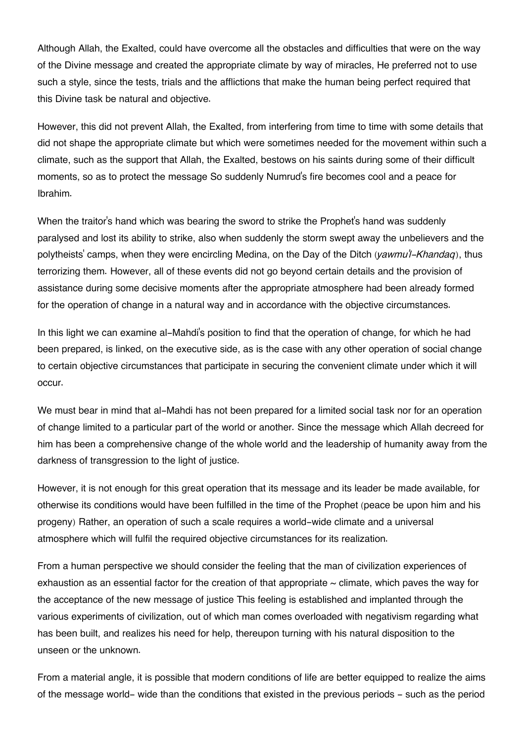Although Allah, the Exalted, could have overcome all the obstacles and difficulties that were on the way of the Divine message and created the appropriate climate by way of miracles, He preferred not to use such a style, since the tests, trials and the afflictions that make the human being perfect required that this Divine task be natural and objective.

However, this did not prevent Allah, the Exalted, from interfering from time to time with some details that did not shape the appropriate climate but which were sometimes needed for the movement within such a climate, such as the support that Allah, the Exalted, bestows on his saints during some of their difficult moments, so as to protect the message So suddenly Numrud's fire becomes cool and a peace for Ibrahim.

When the traitor's hand which was bearing the sword to strike the Prophet's hand was suddenly paralysed and lost its ability to strike, also when suddenly the storm swept away the unbelievers and the polytheists' camps, when they were encircling Medina, on the Day of the Ditch *(yawmu'l-Khandaq*), thus terrorizing them. However, all of these events did not go beyond certain details and the provision of assistance during some decisive moments after the appropriate atmosphere had been already formed for the operation of change in a natural way and in accordance with the objective circumstances.

In this light we can examine al-Mahdi's position to find that the operation of change, for which he had been prepared, is linked, on the executive side, as is the case with any other operation of social change to certain objective circumstances that participate in securing the convenient climate under which it will occur.

We must bear in mind that al-Mahdi has not been prepared for a limited social task nor for an operation of change limited to a particular part of the world or another. Since the message which Allah decreed for him has been a comprehensive change of the whole world and the leadership of humanity away from the darkness of transgression to the light of justice.

However, it is not enough for this great operation that its message and its leader be made available, for otherwise its conditions would have been fulfilled in the time of the Prophet (peace be upon him and his progeny) Rather, an operation of such a scale requires a world-wide climate and a universal atmosphere which will fulfil the required objective circumstances for its realization.

From a human perspective we should consider the feeling that the man of civilization experiences of exhaustion as an essential factor for the creation of that appropriate  $\sim$  climate, which paves the way for the acceptance of the new message of justice This feeling is established and implanted through the various experiments of civilization, out of which man comes overloaded with negativism regarding what has been built, and realizes his need for help, thereupon turning with his natural disposition to the unseen or the unknown.

From a material angle, it is possible that modern conditions of life are better equipped to realize the aims of the message world- wide than the conditions that existed in the previous periods - such as the period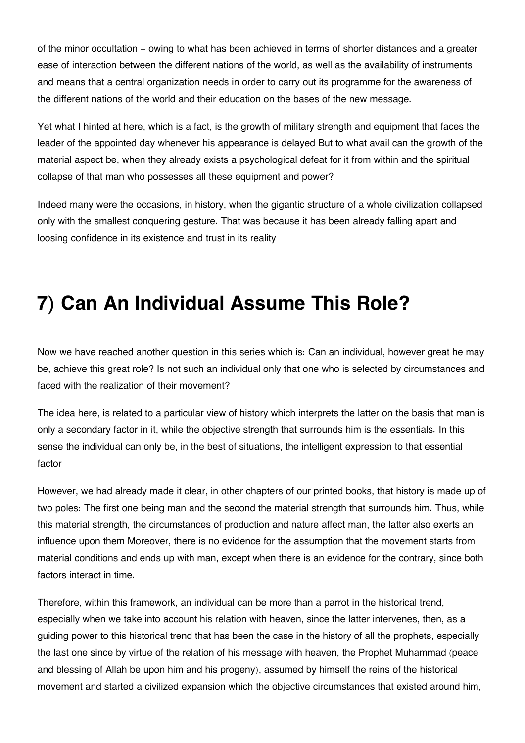of the minor occultation - owing to what has been achieved in terms of shorter distances and a greater ease of interaction between the different nations of the world, as well as the availability of instruments and means that a central organization needs in order to carry out its programme for the awareness of the different nations of the world and their education on the bases of the new message.

Yet what I hinted at here, which is a fact, is the growth of military strength and equipment that faces the leader of the appointed day whenever his appearance is delayed But to what avail can the growth of the material aspect be, when they already exists a psychological defeat for it from within and the spiritual collapse of that man who possesses all these equipment and power?

Indeed many were the occasions, in history, when the gigantic structure of a whole civilization collapsed only with the smallest conquering gesture. That was because it has been already falling apart and loosing confidence in its existence and trust in its reality

## **7) Can An Individual Assume This Role?**

Now we have reached another question in this series which is: Can an individual, however great he may be, achieve this great role? Is not such an individual only that one who is selected by circumstances and faced with the realization of their movement?

The idea here, is related to a particular view of history which interprets the latter on the basis that man is only a secondary factor in it, while the objective strength that surrounds him is the essentials. In this sense the individual can only be, in the best of situations, the intelligent expression to that essential factor

However, we had already made it clear, in other chapters of our printed books, that history is made up of two poles: The first one being man and the second the material strength that surrounds him. Thus, while this material strength, the circumstances of production and nature affect man, the latter also exerts an influence upon them Moreover, there is no evidence for the assumption that the movement starts from material conditions and ends up with man, except when there is an evidence for the contrary, since both factors interact in time.

Therefore, within this framework, an individual can be more than a parrot in the historical trend, especially when we take into account his relation with heaven, since the latter intervenes, then, as a guiding power to this historical trend that has been the case in the history of all the prophets, especially the last one since by virtue of the relation of his message with heaven, the Prophet Muhammad (peace and blessing of Allah be upon him and his progeny), assumed by himself the reins of the historical movement and started a civilized expansion which the objective circumstances that existed around him,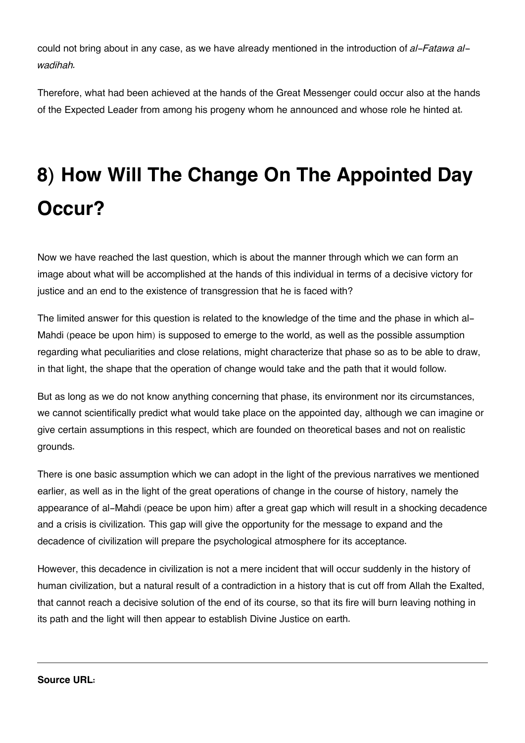could not bring about in any case, as we have already mentioned in the introduction of *al-Fatawa alwadihah.*

Therefore, what had been achieved at the hands of the Great Messenger could occur also at the hands of the Expected Leader from among his progeny whom he announced and whose role he hinted at.

# **8) How Will The Change On The Appointed Day Occur?**

Now we have reached the last question, which is about the manner through which we can form an image about what will be accomplished at the hands of this individual in terms of a decisive victory for justice and an end to the existence of transgression that he is faced with?

The limited answer for this question is related to the knowledge of the time and the phase in which al-Mahdi (peace be upon him) is supposed to emerge to the world, as well as the possible assumption regarding what peculiarities and close relations, might characterize that phase so as to be able to draw, in that light, the shape that the operation of change would take and the path that it would follow.

But as long as we do not know anything concerning that phase, its environment nor its circumstances, we cannot scientifically predict what would take place on the appointed day, although we can imagine or give certain assumptions in this respect, which are founded on theoretical bases and not on realistic grounds.

There is one basic assumption which we can adopt in the light of the previous narratives we mentioned earlier, as well as in the light of the great operations of change in the course of history, namely the appearance of al-Mahdi (peace be upon him) after a great gap which will result in a shocking decadence and a crisis is civilization. This gap will give the opportunity for the message to expand and the decadence of civilization will prepare the psychological atmosphere for its acceptance.

However, this decadence in civilization is not a mere incident that will occur suddenly in the history of human civilization, but a natural result of a contradiction in a history that is cut off from Allah the Exalted, that cannot reach a decisive solution of the end of its course, so that its fire will burn leaving nothing in its path and the light will then appear to establish Divine Justice on earth.